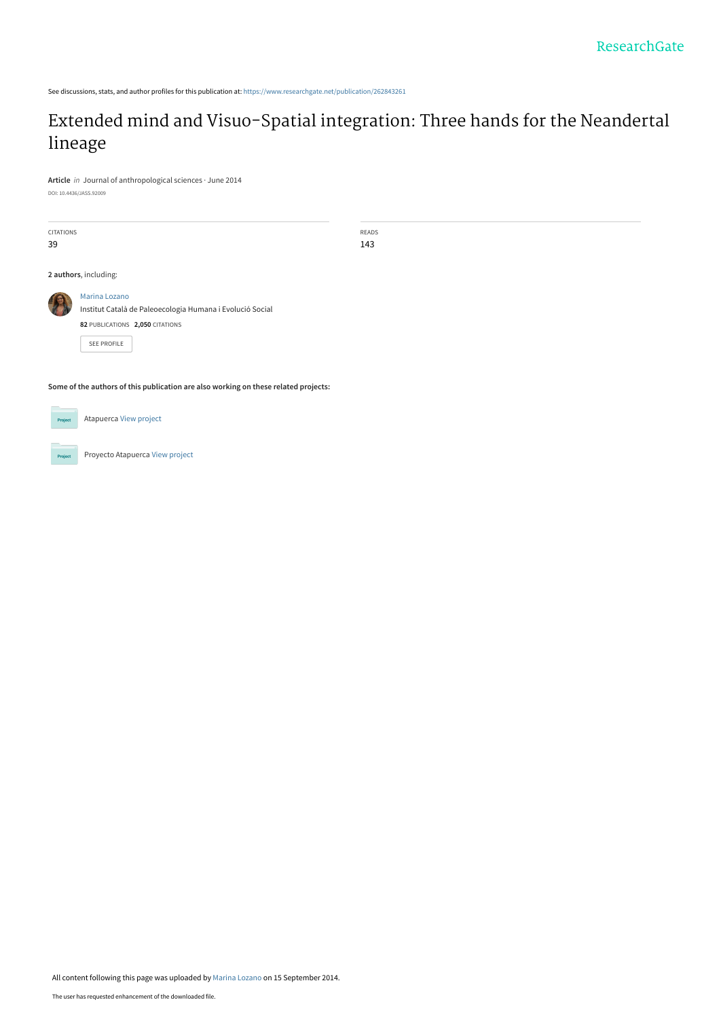See discussions, stats, and author profiles for this publication at: [https://www.researchgate.net/publication/262843261](https://www.researchgate.net/publication/262843261_Extended_mind_and_Visuo-Spatial_integration_Three_hands_for_the_Neandertal_lineage?enrichId=rgreq-d7ac68aa4d2ba043771e5d1ab9336b83-XXX&enrichSource=Y292ZXJQYWdlOzI2Mjg0MzI2MTtBUzoxNDE2MjA2Nzg3NjI0OTZAMTQxMDc3NjQwOTE1Nw%3D%3D&el=1_x_2&_esc=publicationCoverPdf)

# [Extended mind and Visuo-Spatial integration: Three hands for the Neandertal](https://www.researchgate.net/publication/262843261_Extended_mind_and_Visuo-Spatial_integration_Three_hands_for_the_Neandertal_lineage?enrichId=rgreq-d7ac68aa4d2ba043771e5d1ab9336b83-XXX&enrichSource=Y292ZXJQYWdlOzI2Mjg0MzI2MTtBUzoxNDE2MjA2Nzg3NjI0OTZAMTQxMDc3NjQwOTE1Nw%3D%3D&el=1_x_3&_esc=publicationCoverPdf) lineage

**Article** in Journal of anthropological sciences · June 2014 DOI: 10.4436/JASS.92009

CITATIONS 39

READS 143

**2 authors**, including:



[Institut Català de Paleoecologia Humana i Evolució Social](https://www.researchgate.net/institution/Institut_Catala_de_Paleoecologia_Humana_i_Evolucio_Social?enrichId=rgreq-d7ac68aa4d2ba043771e5d1ab9336b83-XXX&enrichSource=Y292ZXJQYWdlOzI2Mjg0MzI2MTtBUzoxNDE2MjA2Nzg3NjI0OTZAMTQxMDc3NjQwOTE1Nw%3D%3D&el=1_x_6&_esc=publicationCoverPdf) **82** PUBLICATIONS **2,050** CITATIONS

[SEE PROFILE](https://www.researchgate.net/profile/Marina_Lozano2?enrichId=rgreq-d7ac68aa4d2ba043771e5d1ab9336b83-XXX&enrichSource=Y292ZXJQYWdlOzI2Mjg0MzI2MTtBUzoxNDE2MjA2Nzg3NjI0OTZAMTQxMDc3NjQwOTE1Nw%3D%3D&el=1_x_7&_esc=publicationCoverPdf)

**Some of the authors of this publication are also working on these related projects:**



Atapuerca [View project](https://www.researchgate.net/project/Atapuerca-3?enrichId=rgreq-d7ac68aa4d2ba043771e5d1ab9336b83-XXX&enrichSource=Y292ZXJQYWdlOzI2Mjg0MzI2MTtBUzoxNDE2MjA2Nzg3NjI0OTZAMTQxMDc3NjQwOTE1Nw%3D%3D&el=1_x_9&_esc=publicationCoverPdf)

Proyecto Atapuerca [View project](https://www.researchgate.net/project/Proyecto-Atapuerca?enrichId=rgreq-d7ac68aa4d2ba043771e5d1ab9336b83-XXX&enrichSource=Y292ZXJQYWdlOzI2Mjg0MzI2MTtBUzoxNDE2MjA2Nzg3NjI0OTZAMTQxMDc3NjQwOTE1Nw%3D%3D&el=1_x_9&_esc=publicationCoverPdf)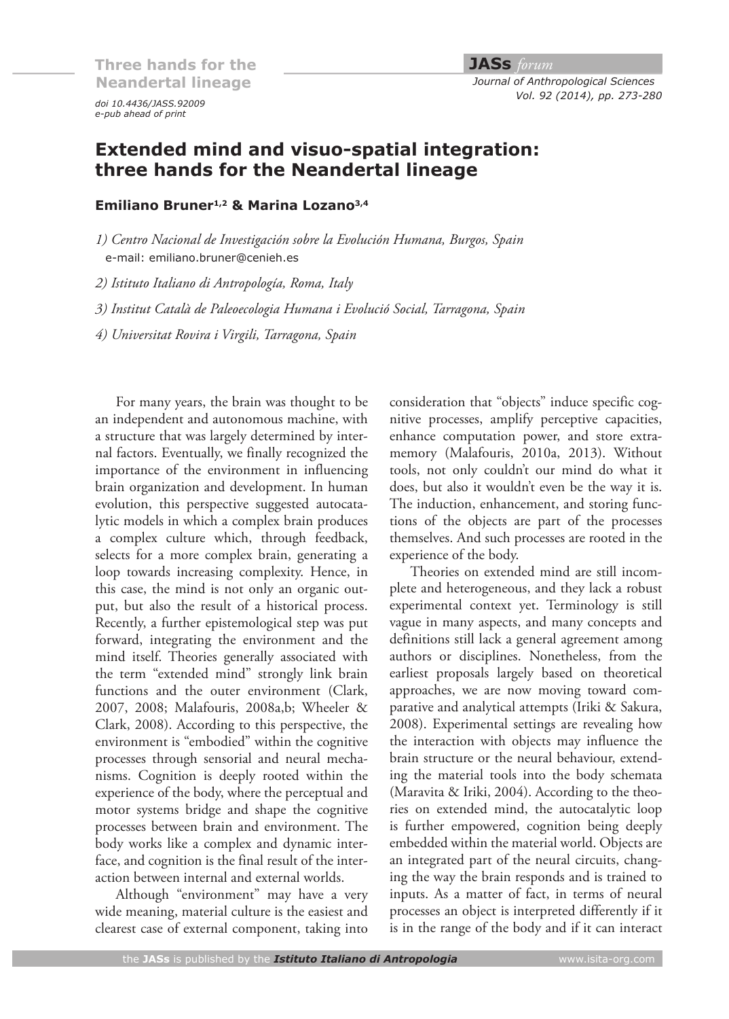*e-pub ahead of print doi 10.4436/JASS.92009*

#### **JASs** *forum Journal of Anthropological Sciences Vol. 92 (2014), pp. 273-280*

## **Extended mind and visuo-spatial integration: three hands for the Neandertal lineage**

### **Emiliano Bruner1,2 & Marina Lozano3,4**

*1) Centro Nacional de Investigación sobre la Evolución Humana, Burgos, Spain* e-mail: emiliano.bruner@cenieh.es

*2) Istituto Italiano di Antropología, Roma, Italy*

*3) Institut Català de Paleoecologia Humana i Evolució Social, Tarragona, Spain*

*4) Universitat Rovira i Virgili, Tarragona, Spain*

For many years, the brain was thought to be an independent and autonomous machine, with a structure that was largely determined by internal factors. Eventually, we finally recognized the importance of the environment in influencing brain organization and development. In human evolution, this perspective suggested autocatalytic models in which a complex brain produces a complex culture which, through feedback, selects for a more complex brain, generating a loop towards increasing complexity. Hence, in this case, the mind is not only an organic output, but also the result of a historical process. Recently, a further epistemological step was put forward, integrating the environment and the mind itself. Theories generally associated with the term "extended mind" strongly link brain functions and the outer environment (Clark, 2007, 2008; Malafouris, 2008a,b; Wheeler & Clark, 2008). According to this perspective, the environment is "embodied" within the cognitive processes through sensorial and neural mechanisms. Cognition is deeply rooted within the experience of the body, where the perceptual and motor systems bridge and shape the cognitive processes between brain and environment. The body works like a complex and dynamic interface, and cognition is the final result of the interaction between internal and external worlds.

Although "environment" may have a very wide meaning, material culture is the easiest and clearest case of external component, taking into

consideration that "objects" induce specific cognitive processes, amplify perceptive capacities, enhance computation power, and store extramemory (Malafouris, 2010a, 2013). Without tools, not only couldn't our mind do what it does, but also it wouldn't even be the way it is. The induction, enhancement, and storing functions of the objects are part of the processes themselves. And such processes are rooted in the experience of the body.

Theories on extended mind are still incomplete and heterogeneous, and they lack a robust experimental context yet. Terminology is still vague in many aspects, and many concepts and definitions still lack a general agreement among authors or disciplines. Nonetheless, from the earliest proposals largely based on theoretical approaches, we are now moving toward comparative and analytical attempts (Iriki & Sakura, 2008). Experimental settings are revealing how the interaction with objects may influence the brain structure or the neural behaviour, extending the material tools into the body schemata (Maravita & Iriki, 2004). According to the theories on extended mind, the autocatalytic loop is further empowered, cognition being deeply embedded within the material world. Objects are an integrated part of the neural circuits, changing the way the brain responds and is trained to inputs. As a matter of fact, in terms of neural processes an object is interpreted differently if it is in the range of the body and if it can interact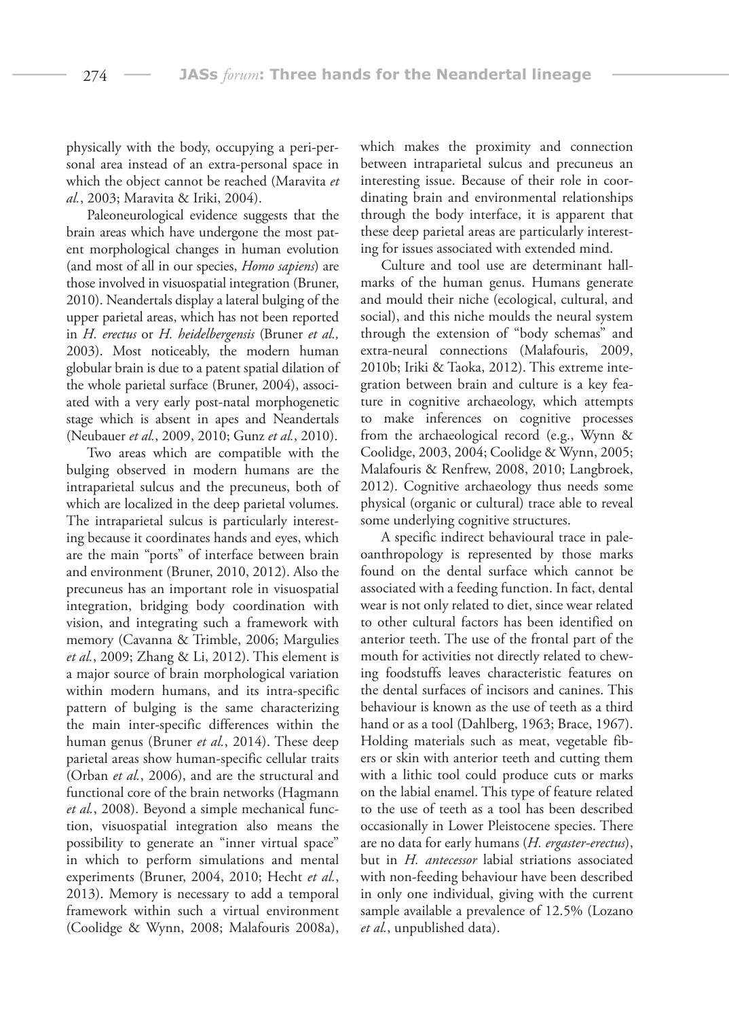physically with the body, occupying a peri-personal area instead of an extra-personal space in which the object cannot be reached (Maravita *et al.*, 2003; Maravita & Iriki, 2004).

Paleoneurological evidence suggests that the brain areas which have undergone the most patent morphological changes in human evolution (and most of all in our species, *Homo sapiens*) are those involved in visuospatial integration (Bruner, 2010). Neandertals display a lateral bulging of the upper parietal areas, which has not been reported in *H. erectus* or *H. heidelbergensis* (Bruner *et al.,* 2003). Most noticeably, the modern human globular brain is due to a patent spatial dilation of the whole parietal surface (Bruner, 2004), associated with a very early post-natal morphogenetic stage which is absent in apes and Neandertals (Neubauer *et al.*, 2009, 2010; Gunz *et al.*, 2010).

Two areas which are compatible with the bulging observed in modern humans are the intraparietal sulcus and the precuneus, both of which are localized in the deep parietal volumes. The intraparietal sulcus is particularly interesting because it coordinates hands and eyes, which are the main "ports" of interface between brain and environment (Bruner, 2010, 2012). Also the precuneus has an important role in visuospatial integration, bridging body coordination with vision, and integrating such a framework with memory (Cavanna & Trimble, 2006; Margulies *et al.*, 2009; Zhang & Li, 2012). This element is a major source of brain morphological variation within modern humans, and its intra-specific pattern of bulging is the same characterizing the main inter-specific differences within the human genus (Bruner *et al.*, 2014). These deep parietal areas show human-specific cellular traits (Orban *et al.*, 2006), and are the structural and functional core of the brain networks (Hagmann *et al.*, 2008). Beyond a simple mechanical function, visuospatial integration also means the possibility to generate an "inner virtual space" in which to perform simulations and mental experiments (Bruner, 2004, 2010; Hecht *et al.*, 2013). Memory is necessary to add a temporal framework within such a virtual environment (Coolidge & Wynn, 2008; Malafouris 2008a), which makes the proximity and connection between intraparietal sulcus and precuneus an interesting issue. Because of their role in coordinating brain and environmental relationships through the body interface, it is apparent that these deep parietal areas are particularly interesting for issues associated with extended mind.

Culture and tool use are determinant hallmarks of the human genus. Humans generate and mould their niche (ecological, cultural, and social), and this niche moulds the neural system through the extension of "body schemas" and extra-neural connections (Malafouris, 2009, 2010b; Iriki & Taoka, 2012). This extreme integration between brain and culture is a key feature in cognitive archaeology, which attempts to make inferences on cognitive processes from the archaeological record (e.g., Wynn & Coolidge, 2003, 2004; Coolidge & Wynn, 2005; Malafouris & Renfrew, 2008, 2010; Langbroek, 2012). Cognitive archaeology thus needs some physical (organic or cultural) trace able to reveal some underlying cognitive structures.

A specific indirect behavioural trace in paleoanthropology is represented by those marks found on the dental surface which cannot be associated with a feeding function. In fact, dental wear is not only related to diet, since wear related to other cultural factors has been identified on anterior teeth. The use of the frontal part of the mouth for activities not directly related to chewing foodstuffs leaves characteristic features on the dental surfaces of incisors and canines. This behaviour is known as the use of teeth as a third hand or as a tool (Dahlberg, 1963; Brace, 1967). Holding materials such as meat, vegetable fibers or skin with anterior teeth and cutting them with a lithic tool could produce cuts or marks on the labial enamel. This type of feature related to the use of teeth as a tool has been described occasionally in Lower Pleistocene species. There are no data for early humans (*H. ergaster-erectus*), but in *H. antecessor* labial striations associated with non-feeding behaviour have been described in only one individual, giving with the current sample available a prevalence of 12.5% (Lozano *et al.*, unpublished data).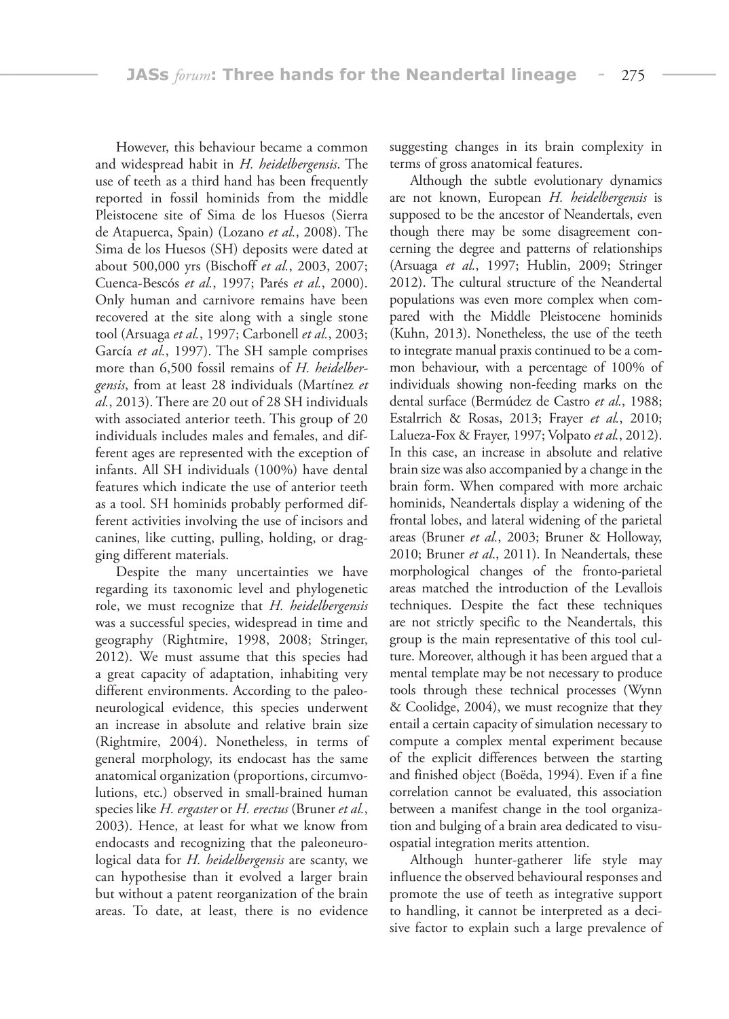However, this behaviour became a common and widespread habit in *H. heidelbergensis*. The use of teeth as a third hand has been frequently reported in fossil hominids from the middle Pleistocene site of Sima de los Huesos (Sierra de Atapuerca, Spain) (Lozano *et al.*, 2008). The Sima de los Huesos (SH) deposits were dated at about 500,000 yrs (Bischoff *et al.*, 2003, 2007; Cuenca-Bescós *et al.*, 1997; Parés *et al.*, 2000). Only human and carnivore remains have been recovered at the site along with a single stone tool (Arsuaga *et al.*, 1997; Carbonell *et al.*, 2003; García *et al.*, 1997). The SH sample comprises more than 6,500 fossil remains of *H. heidelbergensis*, from at least 28 individuals (Martínez *et al.*, 2013). There are 20 out of 28 SH individuals with associated anterior teeth. This group of 20 individuals includes males and females, and different ages are represented with the exception of infants. All SH individuals (100%) have dental features which indicate the use of anterior teeth as a tool. SH hominids probably performed different activities involving the use of incisors and canines, like cutting, pulling, holding, or dragging different materials.

Despite the many uncertainties we have regarding its taxonomic level and phylogenetic role, we must recognize that *H. heidelbergensis* was a successful species, widespread in time and geography (Rightmire, 1998, 2008; Stringer, 2012). We must assume that this species had a great capacity of adaptation, inhabiting very different environments. According to the paleoneurological evidence, this species underwent an increase in absolute and relative brain size (Rightmire, 2004). Nonetheless, in terms of general morphology, its endocast has the same anatomical organization (proportions, circumvolutions, etc.) observed in small-brained human species like *H. ergaster* or *H. erectus* (Bruner *et al.*, 2003). Hence, at least for what we know from endocasts and recognizing that the paleoneurological data for *H. heidelbergensis* are scanty, we can hypothesise than it evolved a larger brain but without a patent reorganization of the brain areas. To date, at least, there is no evidence

suggesting changes in its brain complexity in terms of gross anatomical features.

Although the subtle evolutionary dynamics are not known, European *H. heidelbergensis* is supposed to be the ancestor of Neandertals, even though there may be some disagreement concerning the degree and patterns of relationships (Arsuaga *et al.*, 1997; Hublin, 2009; Stringer 2012). The cultural structure of the Neandertal populations was even more complex when compared with the Middle Pleistocene hominids (Kuhn, 2013). Nonetheless, the use of the teeth to integrate manual praxis continued to be a common behaviour, with a percentage of 100% of individuals showing non-feeding marks on the dental surface (Bermúdez de Castro *et al.*, 1988; Estalrrich & Rosas, 2013; Frayer *et al.*, 2010; Lalueza-Fox & Frayer, 1997; Volpato *et al.*, 2012). In this case, an increase in absolute and relative brain size was also accompanied by a change in the brain form. When compared with more archaic hominids, Neandertals display a widening of the frontal lobes, and lateral widening of the parietal areas (Bruner *et al.*, 2003; Bruner & Holloway, 2010; Bruner *et al*., 2011). In Neandertals, these morphological changes of the fronto-parietal areas matched the introduction of the Levallois techniques. Despite the fact these techniques are not strictly specific to the Neandertals, this group is the main representative of this tool culture. Moreover, although it has been argued that a mental template may be not necessary to produce tools through these technical processes (Wynn & Coolidge, 2004), we must recognize that they entail a certain capacity of simulation necessary to compute a complex mental experiment because of the explicit differences between the starting and finished object (Boëda, 1994). Even if a fine correlation cannot be evaluated, this association between a manifest change in the tool organization and bulging of a brain area dedicated to visuospatial integration merits attention.

Although hunter-gatherer life style may influence the observed behavioural responses and promote the use of teeth as integrative support to handling, it cannot be interpreted as a decisive factor to explain such a large prevalence of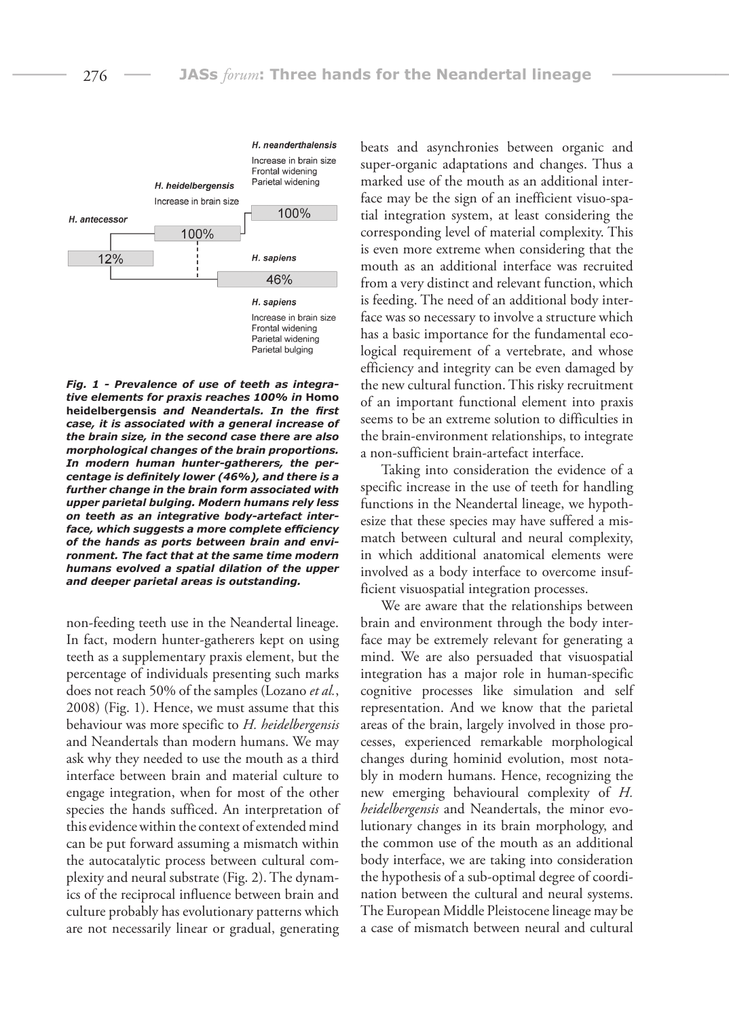

*Fig. 1 - Prevalence of use of teeth as integrative elements for praxis reaches 100% in* **Homo heidelbergensis** *and Neandertals. In the first case, it is associated with a general increase of the brain size, in the second case there are also morphological changes of the brain proportions. In modern human hunter-gatherers, the percentage is definitely lower (46%), and there is a further change in the brain form associated with upper parietal bulging. Modern humans rely less on teeth as an integrative body-artefact interface, which suggests a more complete efficiency of the hands as ports between brain and environment. The fact that at the same time modern humans evolved a spatial dilation of the upper and deeper parietal areas is outstanding.*

non-feeding teeth use in the Neandertal lineage. In fact, modern hunter-gatherers kept on using teeth as a supplementary praxis element, but the percentage of individuals presenting such marks does not reach 50% of the samples (Lozano *et al.*, 2008) (Fig. 1). Hence, we must assume that this behaviour was more specific to *H. heidelbergensis* and Neandertals than modern humans. We may ask why they needed to use the mouth as a third interface between brain and material culture to engage integration, when for most of the other species the hands sufficed. An interpretation of this evidence within the context of extended mind can be put forward assuming a mismatch within the autocatalytic process between cultural complexity and neural substrate (Fig. 2). The dynamics of the reciprocal influence between brain and culture probably has evolutionary patterns which are not necessarily linear or gradual, generating

beats and asynchronies between organic and super-organic adaptations and changes. Thus a marked use of the mouth as an additional interface may be the sign of an inefficient visuo-spatial integration system, at least considering the corresponding level of material complexity. This is even more extreme when considering that the mouth as an additional interface was recruited from a very distinct and relevant function, which is feeding. The need of an additional body interface was so necessary to involve a structure which has a basic importance for the fundamental ecological requirement of a vertebrate, and whose efficiency and integrity can be even damaged by the new cultural function. This risky recruitment of an important functional element into praxis seems to be an extreme solution to difficulties in the brain-environment relationships, to integrate a non-sufficient brain-artefact interface.

Taking into consideration the evidence of a specific increase in the use of teeth for handling functions in the Neandertal lineage, we hypothesize that these species may have suffered a mismatch between cultural and neural complexity, in which additional anatomical elements were involved as a body interface to overcome insufficient visuospatial integration processes.

We are aware that the relationships between brain and environment through the body interface may be extremely relevant for generating a mind. We are also persuaded that visuospatial integration has a major role in human-specific cognitive processes like simulation and self representation. And we know that the parietal areas of the brain, largely involved in those processes, experienced remarkable morphological changes during hominid evolution, most notably in modern humans. Hence, recognizing the new emerging behavioural complexity of *H. heidelbergensis* and Neandertals, the minor evolutionary changes in its brain morphology, and the common use of the mouth as an additional body interface, we are taking into consideration the hypothesis of a sub-optimal degree of coordination between the cultural and neural systems. The European Middle Pleistocene lineage may be a case of mismatch between neural and cultural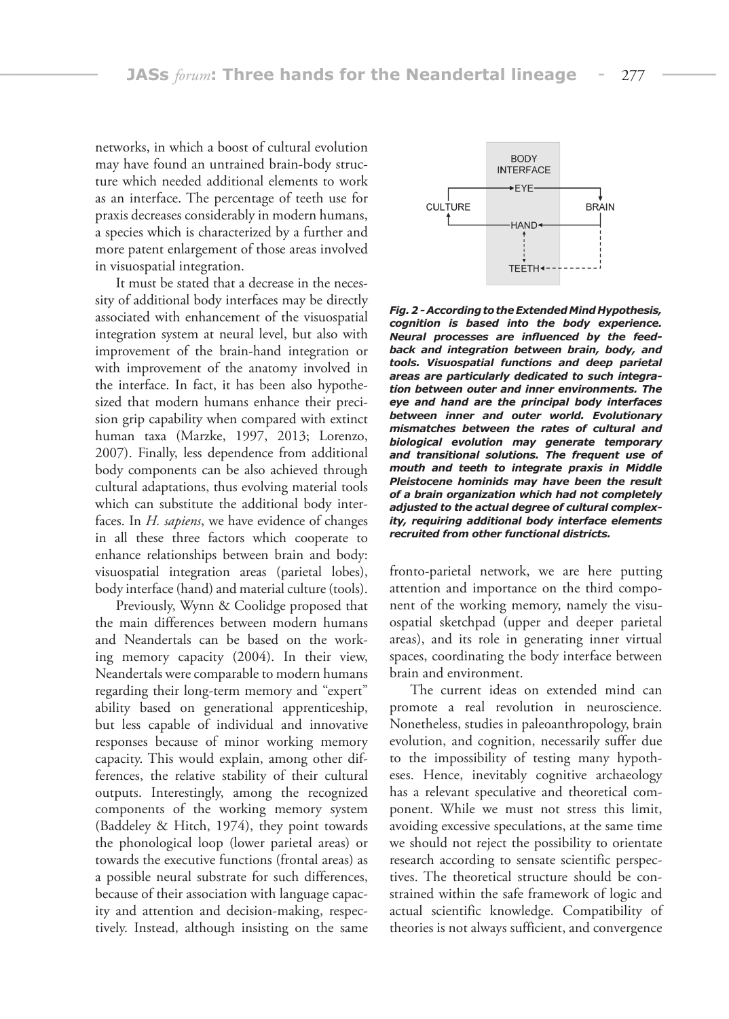networks, in which a boost of cultural evolution may have found an untrained brain-body structure which needed additional elements to work as an interface. The percentage of teeth use for praxis decreases considerably in modern humans, a species which is characterized by a further and more patent enlargement of those areas involved in visuospatial integration.

It must be stated that a decrease in the necessity of additional body interfaces may be directly associated with enhancement of the visuospatial integration system at neural level, but also with improvement of the brain-hand integration or with improvement of the anatomy involved in the interface. In fact, it has been also hypothesized that modern humans enhance their precision grip capability when compared with extinct human taxa (Marzke, 1997, 2013; Lorenzo, 2007). Finally, less dependence from additional body components can be also achieved through cultural adaptations, thus evolving material tools which can substitute the additional body interfaces. In *H. sapiens*, we have evidence of changes in all these three factors which cooperate to enhance relationships between brain and body: visuospatial integration areas (parietal lobes), body interface (hand) and material culture (tools).

Previously, Wynn & Coolidge proposed that the main differences between modern humans and Neandertals can be based on the working memory capacity (2004). In their view, Neandertals were comparable to modern humans regarding their long-term memory and "expert" ability based on generational apprenticeship, but less capable of individual and innovative responses because of minor working memory capacity. This would explain, among other differences, the relative stability of their cultural outputs. Interestingly, among the recognized components of the working memory system (Baddeley & Hitch, 1974), they point towards the phonological loop (lower parietal areas) or towards the executive functions (frontal areas) as a possible neural substrate for such differences, because of their association with language capacity and attention and decision-making, respectively. Instead, although insisting on the same



*Fig. 2 - According to the Extended Mind Hypothesis, cognition is based into the body experience. Neural processes are influenced by the feedback and integration between brain, body, and tools. Visuospatial functions and deep parietal areas are particularly dedicated to such integration between outer and inner environments. The eye and hand are the principal body interfaces between inner and outer world. Evolutionary mismatches between the rates of cultural and biological evolution may generate temporary and transitional solutions. The frequent use of mouth and teeth to integrate praxis in Middle Pleistocene hominids may have been the result of a brain organization which had not completely adjusted to the actual degree of cultural complexity, requiring additional body interface elements recruited from other functional districts.*

fronto-parietal network, we are here putting attention and importance on the third component of the working memory, namely the visuospatial sketchpad (upper and deeper parietal areas), and its role in generating inner virtual spaces, coordinating the body interface between brain and environment.

The current ideas on extended mind can promote a real revolution in neuroscience. Nonetheless, studies in paleoanthropology, brain evolution, and cognition, necessarily suffer due to the impossibility of testing many hypotheses. Hence, inevitably cognitive archaeology has a relevant speculative and theoretical component. While we must not stress this limit, avoiding excessive speculations, at the same time we should not reject the possibility to orientate research according to sensate scientific perspectives. The theoretical structure should be constrained within the safe framework of logic and actual scientific knowledge. Compatibility of theories is not always sufficient, and convergence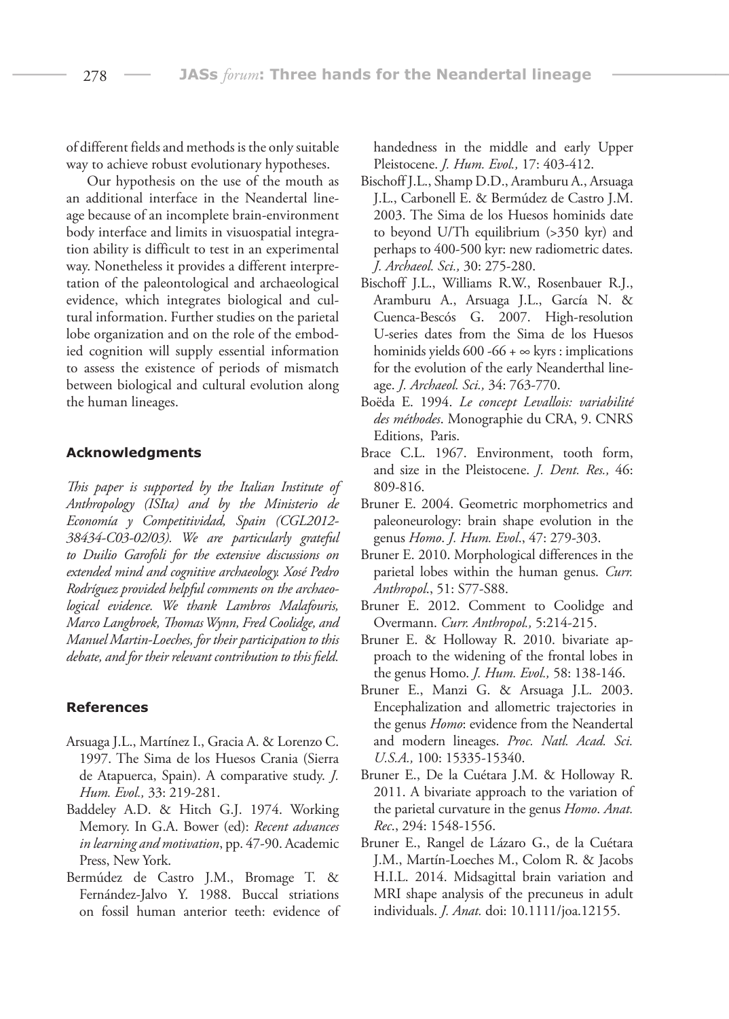of different fields and methods is the only suitable way to achieve robust evolutionary hypotheses.

Our hypothesis on the use of the mouth as an additional interface in the Neandertal lineage because of an incomplete brain-environment body interface and limits in visuospatial integration ability is difficult to test in an experimental way. Nonetheless it provides a different interpretation of the paleontological and archaeological evidence, which integrates biological and cultural information. Further studies on the parietal lobe organization and on the role of the embodied cognition will supply essential information to assess the existence of periods of mismatch between biological and cultural evolution along the human lineages.

#### **Acknowledgments**

*This paper is supported by the Italian Institute of Anthropology (ISIta) and by the Ministerio de Economía y Competitividad, Spain (CGL2012- 38434-C03-02/03). We are particularly grateful to Duilio Garofoli for the extensive discussions on extended mind and cognitive archaeology. Xosé Pedro Rodríguez provided helpful comments on the archaeological evidence. We thank Lambros Malafouris, Marco Langbroek, Thomas Wynn, Fred Coolidge, and Manuel Martin-Loeches, for their participation to this debate, and for their relevant contribution to this field.*

#### **References**

- Arsuaga J.L., Martínez I., Gracia A. & Lorenzo C. 1997. The Sima de los Huesos Crania (Sierra de Atapuerca, Spain). A comparative study. *J. Hum. Evol.,* 33: 219-281.
- Baddeley A.D. & Hitch G.J. 1974. Working Memory. In G.A. Bower (ed): *Recent advances in learning and motivation*, pp. 47-90. Academic Press, New York.
- Bermúdez de Castro J.M., Bromage T. & Fernández-Jalvo Y. 1988. Buccal striations on fossil human anterior teeth: evidence of

handedness in the middle and early Upper Pleistocene. *J. Hum. Evol.,* 17: 403-412.

- Bischoff J.L., Shamp D.D., Aramburu A., Arsuaga J.L., Carbonell E. & Bermúdez de Castro J.M. 2003. The Sima de los Huesos hominids date to beyond U/Th equilibrium (>350 kyr) and perhaps to 400-500 kyr: new radiometric dates. *J. Archaeol. Sci.,* 30: 275-280.
- Bischoff J.L., Williams R.W., Rosenbauer R.J., Aramburu A., Arsuaga J.L., García N. & Cuenca-Bescós G. 2007. High-resolution U-series dates from the Sima de los Huesos hominids yields 600 -66 +  $\infty$  kyrs : implications for the evolution of the early Neanderthal lineage. *J. Archaeol. Sci.,* 34: 763-770.
- Boëda E. 1994. *Le concept Levallois: variabilité des méthodes*. Monographie du CRA, 9. CNRS Editions, Paris.
- Brace C.L. 1967. Environment, tooth form, and size in the Pleistocene. *J. Dent. Res.,* 46: 809-816.
- Bruner E. 2004. Geometric morphometrics and paleoneurology: brain shape evolution in the genus *Homo*. *J. Hum. Evol*., 47: 279-303.
- Bruner E. 2010. Morphological differences in the parietal lobes within the human genus. *Curr. Anthropol*., 51: S77-S88.
- Bruner E. 2012. Comment to Coolidge and Overmann. *Curr. Anthropol.,* 5:214-215.
- Bruner E. & Holloway R. 2010. bivariate approach to the widening of the frontal lobes in the genus Homo. *J. Hum. Evol.,* 58: 138-146.
- Bruner E., Manzi G. & Arsuaga J.L. 2003. Encephalization and allometric trajectories in the genus *Homo*: evidence from the Neandertal and modern lineages. *Proc. Natl. Acad. Sci. U.S.A.,* 100: 15335-15340.
- Bruner E., De la Cuétara J.M. & Holloway R. 2011. A bivariate approach to the variation of the parietal curvature in the genus *Homo*. *Anat. Rec*., 294: 1548-1556.
- Bruner E., Rangel de Lázaro G., de la Cuétara J.M., Martín-Loeches M., Colom R. & Jacobs H.I.L. 2014. Midsagittal brain variation and MRI shape analysis of the precuneus in adult individuals. *J. Anat.* doi: 10.1111/joa.12155.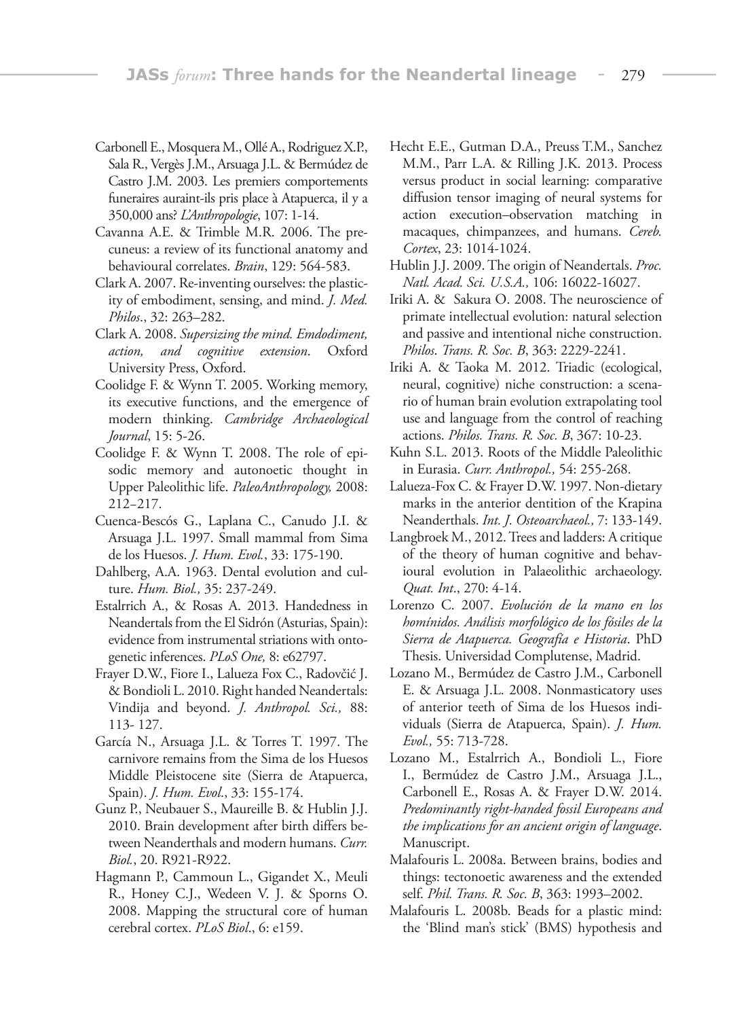- Carbonell E., Mosquera M., Ollé A., Rodriguez X.P., Sala R., Vergès J.M., Arsuaga J.L. & Bermúdez de Castro J.M. 2003. Les premiers comportements funeraires auraint-ils pris place à Atapuerca, il y a 350,000 ans? *L'Anthropologie*, 107: 1-14.
- Cavanna A.E. & Trimble M.R. 2006. The precuneus: a review of its functional anatomy and behavioural correlates. *Brain*, 129: 564-583.
- Clark A. 2007. Re-inventing ourselves: the plasticity of embodiment, sensing, and mind. *J. Med. Philos*., 32: 263–282.
- Clark A. 2008. *Supersizing the mind. Emdodiment, action, and cognitive extension*. Oxford University Press, Oxford.
- Coolidge F. & Wynn T. 2005. Working memory, its executive functions, and the emergence of modern thinking. *Cambridge Archaeological Journal*, 15: 5-26.
- Coolidge F. & Wynn T. 2008. The role of episodic memory and autonoetic thought in Upper Paleolithic life. *PaleoAnthropology,* 2008: 212−217.
- Cuenca-Bescós G., Laplana C., Canudo J.I. & Arsuaga J.L. 1997. Small mammal from Sima de los Huesos. *J. Hum. Evol.*, 33: 175-190.
- Dahlberg, A.A. 1963. Dental evolution and culture. *Hum. Biol.,* 35: 237-249.
- Estalrrich A., & Rosas A. 2013. Handedness in Neandertals from the El Sidrón (Asturias, Spain): evidence from instrumental striations with ontogenetic inferences. *PLoS One,* 8: e62797.
- Frayer D.W., Fiore I., Lalueza Fox C., Radovčić J. & Bondioli L. 2010. Right handed Neandertals: Vindija and beyond. *J. Anthropol. Sci.,* 88: 113- 127.
- García N., Arsuaga J.L. & Torres T. 1997. The carnivore remains from the Sima de los Huesos Middle Pleistocene site (Sierra de Atapuerca, Spain). *J. Hum. Evol*., 33: 155-174.
- Gunz P., Neubauer S., Maureille B. & Hublin J.J. 2010. Brain development after birth differs between Neanderthals and modern humans. *Curr. Biol.*, 20. R921-R922.
- Hagmann P., Cammoun L., Gigandet X., Meuli R., Honey C.J., Wedeen V. J. & Sporns O. 2008. Mapping the structural core of human cerebral cortex. *PLoS Biol*., 6: e159.
- Hecht E.E., Gutman D.A., Preuss T.M., Sanchez M.M., Parr L.A. & Rilling J.K. 2013. Process versus product in social learning: comparative diffusion tensor imaging of neural systems for action execution–observation matching in macaques, chimpanzees, and humans. *Cereb. Cortex*, 23: 1014-1024.
- Hublin J.J. 2009. The origin of Neandertals. *Proc. Natl. Acad. Sci. U.S.A.,* 106: 16022-16027.
- Iriki A. & Sakura O. 2008. The neuroscience of primate intellectual evolution: natural selection and passive and intentional niche construction. *Philos*. *Trans. R. Soc. B*, 363: 2229-2241.
- Iriki A. & Taoka M. 2012. Triadic (ecological, neural, cognitive) niche construction: a scenario of human brain evolution extrapolating tool use and language from the control of reaching actions. *Philos. Trans. R. Soc. B*, 367: 10-23.
- Kuhn S.L. 2013. Roots of the Middle Paleolithic in Eurasia. *Curr. Anthropol.,* 54: 255-268.
- Lalueza-Fox C. & Frayer D.W. 1997. Non-dietary marks in the anterior dentition of the Krapina Neanderthals. *Int. J. Osteoarchaeol.,* 7: 133-149.
- Langbroek M., 2012. Trees and ladders: A critique of the theory of human cognitive and behavioural evolution in Palaeolithic archaeology. *Quat. Int*., 270: 4-14.
- Lorenzo C. 2007. *Evolución de la mano en los homínidos. Análisis morfológico de los fósiles de la Sierra de Atapuerca. Geografía e Historia*. PhD Thesis. Universidad Complutense, Madrid.
- Lozano M., Bermúdez de Castro J.M., Carbonell E. & Arsuaga J.L. 2008. Nonmasticatory uses of anterior teeth of Sima de los Huesos individuals (Sierra de Atapuerca, Spain). *J. Hum. Evol.,* 55: 713-728.
- Lozano M., Estalrrich A., Bondioli L., Fiore I., Bermúdez de Castro J.M., Arsuaga J.L., Carbonell E., Rosas A. & Frayer D.W. 2014. *Predominantly right-handed fossil Europeans and the implications for an ancient origin of language*. Manuscript.
- Malafouris L. 2008a. Between brains, bodies and things: tectonoetic awareness and the extended self. *Phil. Trans. R. Soc. B*, 363: 1993–2002.
- Malafouris L. 2008b. Beads for a plastic mind: the 'Blind man's stick' (BMS) hypothesis and